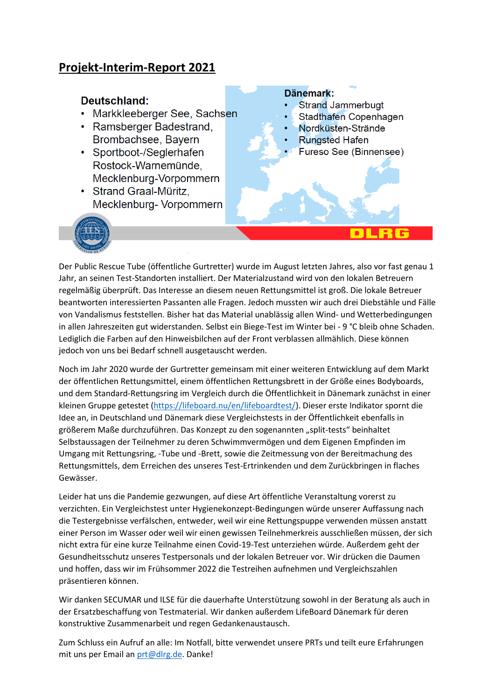# **Projekt-Interim-Report 2021**

## Deutschland:

- Markkleeberger See, Sachsen
- Ramsberger Badestrand, Brombachsee, Bayern
- Sportboot-/Seglerhafen Rostock-Warnemünde, Mecklenburg-Vorpommern
- Strand Graal-Müritz, Mecklenburg- Vorpommern

### Dänemark:

- **Strand Jammerbugt**
- Stadthafen Copenhagen
- Nordküsten-Strände
- **Rungsted Hafen**
- Fureso See (Binnensee)



Der Public Rescue Tube (öffentliche Gurtretter) wurde im August letzten Jahres, also vor fast genau 1 Jahr, an seinen Test-Standorten installiert. Der Materialzustand wird von den lokalen Betreuern regelmäßig überprüft. Das Interesse an diesem neuen Rettungsmittel ist groß. Die lokale Betreuer beantworten interessierten Passanten alle Fragen. Jedoch mussten wir auch drei Diebstähle und Fälle von Vandalismus feststellen. Bisher hat das Material unablässig allen Wind- und Wetterbedingungen in allen Jahreszeiten gut widerstanden. Selbst ein Biege-Test im Winter bei - 9 °C bleib ohne Schaden. Lediglich die Farben auf den Hinweisbilchen auf der Front verblassen allmählich. Diese können jedoch von uns bei Bedarf schnell ausgetauscht werden.

Noch im Jahr 2020 wurde der Gurtretter gemeinsam mit einer weiteren Entwicklung auf dem Markt der öffentlichen Rettungsmittel, einem öffentlichen Rettungsbrett in der Größe eines Bodyboards, und dem Standard-Rettungsring im Vergleich durch die Öffentlichkeit in Dänemark zunächst in einer kleinen Gruppe getestet [\(https://lifeboard.nu/en/lifeboardtest/\)](https://lifeboard.nu/en/lifeboardtest/). Dieser erste Indikator spornt die Idee an, in Deutschland und Dänemark diese Vergleichstests in der Öffentlichkeit ebenfalls in größerem Maße durchzuführen. Das Konzept zu den sogenannten "split-tests" beinhaltet Selbstaussagen der Teilnehmer zu deren Schwimmvermögen und dem Eigenen Empfinden im Umgang mit Rettungsring, -Tube und -Brett, sowie die Zeitmessung von der Bereitmachung des Rettungsmittels, dem Erreichen des unseres Test-Ertrinkenden und dem Zurückbringen in flaches Gewässer.

Leider hat uns die Pandemie gezwungen, auf diese Art öffentliche Veranstaltung vorerst zu verzichten. Ein Vergleichstest unter Hygienekonzept-Bedingungen würde unserer Auffassung nach die Testergebnisse verfälschen, entweder, weil wir eine Rettungspuppe verwenden müssen anstatt einer Person im Wasser oder weil wir einen gewissen Teilnehmerkreis ausschließen müssen, der sich nicht extra für eine kurze Teilnahme einen Covid-19-Test unterziehen würde. Außerdem geht der Gesundheitsschutz unseres Testpersonals und der lokalen Betreuer vor. Wir drücken die Daumen und hoffen, dass wir im Frühsommer 2022 die Testreihen aufnehmen und Vergleichszahlen präsentieren können.

Wir danken SECUMAR und ILSE für die dauerhafte Unterstützung sowohl in der Beratung als auch in der Ersatzbeschaffung von Testmaterial. Wir danken außerdem LifeBoard Dänemark für deren konstruktive Zusammenarbeit und regen Gedankenaustausch.

Zum Schluss ein Aufruf an alle: Im Notfall, bitte verwendet unsere PRTs und teilt eure Erfahrungen mit uns per Email a[n prt@dlrg.de.](mailto:prt@dlrg.de) Danke!